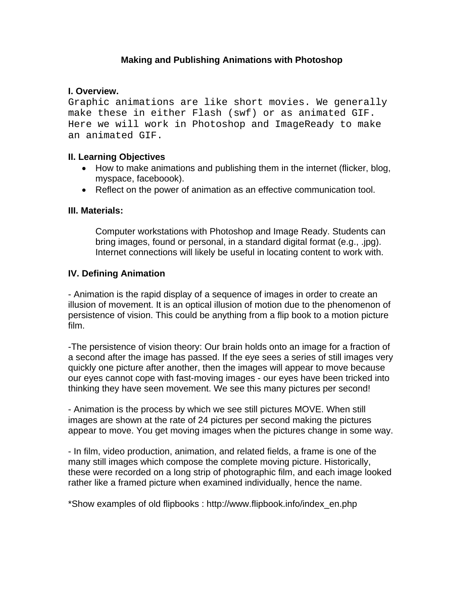# **Making and Publishing Animations with Photoshop**

### **I. Overview.**

Graphic animations are like short movies. We generally make these in either Flash (swf) or as animated GIF. Here we will work in Photoshop and ImageReady to make an animated GIF.

#### **II. Learning Objectives**

- How to make animations and publishing them in the internet (flicker, blog, myspace, faceboook).
- Reflect on the power of animation as an effective communication tool.

#### **III. Materials:**

Computer workstations with Photoshop and Image Ready. Students can bring images, found or personal, in a standard digital format (e.g., .jpg). Internet connections will likely be useful in locating content to work with.

#### **IV. Defining Animation**

- Animation is the rapid display of a sequence of images in order to create an illusion of movement. It is an optical illusion of motion due to the phenomenon of persistence of vision. This could be anything from a flip book to a motion picture film.

-The persistence of vision theory: Our brain holds onto an image for a fraction of a second after the image has passed. If the eye sees a series of still images very quickly one picture after another, then the images will appear to move because our eyes cannot cope with fast-moving images - our eyes have been tricked into thinking they have seen movement. We see this many pictures per second!

- Animation is the process by which we see still pictures MOVE. When still images are shown at the rate of 24 pictures per second making the pictures appear to move. You get moving images when the pictures change in some way.

- In film, video production, animation, and related fields, a frame is one of the many still images which compose the complete moving picture. Historically, these were recorded on a long strip of photographic film, and each image looked rather like a framed picture when examined individually, hence the name.

\*Show examples of old flipbooks : http://www.flipbook.info/index\_en.php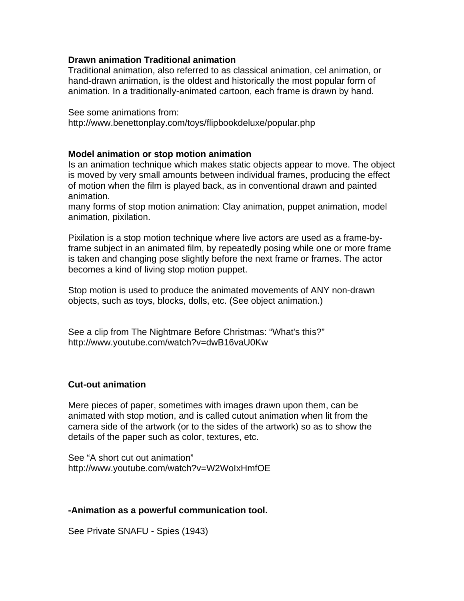### **Drawn animation Traditional animation**

Traditional animation, also referred to as classical animation, cel animation, or hand-drawn animation, is the oldest and historically the most popular form of animation. In a traditionally-animated cartoon, each frame is drawn by hand.

See some animations from: http://www.benettonplay.com/toys/flipbookdeluxe/popular.php

#### **Model animation or stop motion animation**

Is an animation technique which makes static objects appear to move. The object is moved by very small amounts between individual frames, producing the effect of motion when the film is played back, as in conventional drawn and painted animation.

many forms of stop motion animation: Clay animation, puppet animation, model animation, pixilation.

Pixilation is a stop motion technique where live actors are used as a frame-byframe subject in an animated film, by repeatedly posing while one or more frame is taken and changing pose slightly before the next frame or frames. The actor becomes a kind of living stop motion puppet.

Stop motion is used to produce the animated movements of ANY non-drawn objects, such as toys, blocks, dolls, etc. (See object animation.)

See a clip from The Nightmare Before Christmas: "What's this?" http://www.youtube.com/watch?v=dwB16vaU0Kw

## **Cut-out animation**

Mere pieces of paper, sometimes with images drawn upon them, can be animated with stop motion, and is called cutout animation when lit from the camera side of the artwork (or to the sides of the artwork) so as to show the details of the paper such as color, textures, etc.

See "A short cut out animation" http://www.youtube.com/watch?v=W2WoIxHmfOE

## **-Animation as a powerful communication tool.**

See Private SNAFU - Spies (1943)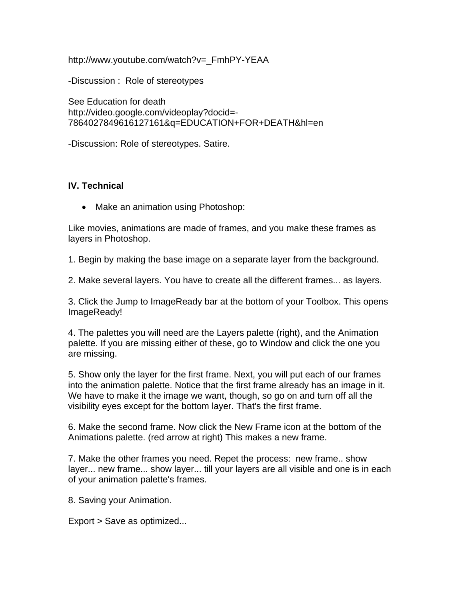http://www.youtube.com/watch?v=\_FmhPY-YEAA

-Discussion : Role of stereotypes

See Education for death http://video.google.com/videoplay?docid=- 7864027849616127161&q=EDUCATION+FOR+DEATH&hl=en

-Discussion: Role of stereotypes. Satire.

## **IV. Technical**

• Make an animation using Photoshop:

Like movies, animations are made of frames, and you make these frames as layers in Photoshop.

1. Begin by making the base image on a separate layer from the background.

2. Make several layers. You have to create all the different frames... as layers.

3. Click the Jump to ImageReady bar at the bottom of your Toolbox. This opens ImageReady!

4. The palettes you will need are the Layers palette (right), and the Animation palette. If you are missing either of these, go to Window and click the one you are missing.

5. Show only the layer for the first frame. Next, you will put each of our frames into the animation palette. Notice that the first frame already has an image in it. We have to make it the image we want, though, so go on and turn off all the visibility eyes except for the bottom layer. That's the first frame.

6. Make the second frame. Now click the New Frame icon at the bottom of the Animations palette. (red arrow at right) This makes a new frame.

7. Make the other frames you need. Repet the process: new frame.. show layer... new frame... show layer... till your layers are all visible and one is in each of your animation palette's frames.

8. Saving your Animation.

Export > Save as optimized...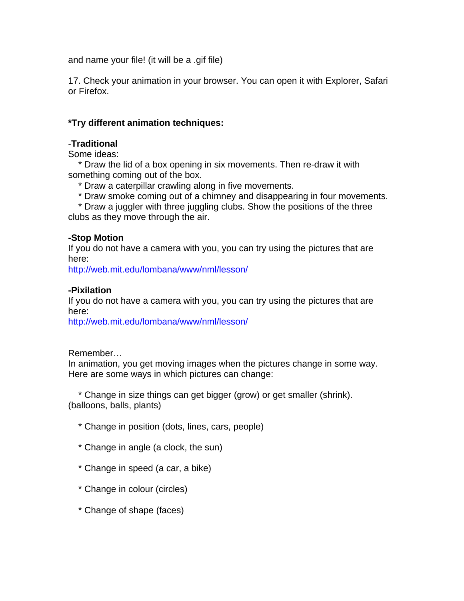and name your file! (it will be a .gif file)

17. Check your animation in your browser. You can open it with Explorer, Safari or Firefox.

## **\*Try different animation techniques:**

### -**Traditional**

Some ideas:

 \* Draw the lid of a box opening in six movements. Then re-draw it with something coming out of the box.

\* Draw a caterpillar crawling along in five movements.

\* Draw smoke coming out of a chimney and disappearing in four movements.

 \* Draw a juggler with three juggling clubs. Show the positions of the three clubs as they move through the air.

## **-Stop Motion**

If you do not have a camera with you, you can try using the pictures that are here:

http://web.mit.edu[/lombana/www/nml/lesson/](http://web.mit.edu/lombana/www/nml/lesson/)

#### **-Pixilation**

If you do not have a camera with you, you can try using the pictures that are here:

http://web.mit.edu[/lombana/www/nml/lesson/](http://web.mit.edu/lombana/www/nml/lesson/)

Remember…

In animation, you get moving images when the pictures change in some way. Here are some ways in which pictures can change:

 \* Change in size things can get bigger (grow) or get smaller (shrink). (balloons, balls, plants)

- \* Change in position (dots, lines, cars, people)
- \* Change in angle (a clock, the sun)
- \* Change in speed (a car, a bike)
- \* Change in colour (circles)
- \* Change of shape (faces)